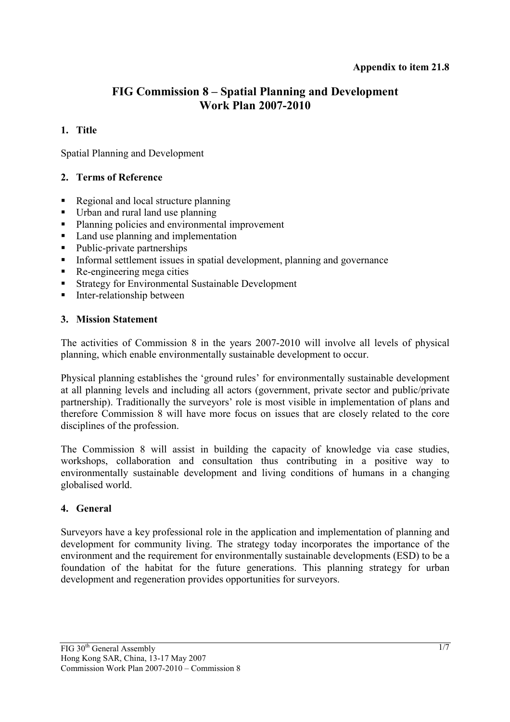# **FIG Commission 8 – Spatial Planning and Development Work Plan 2007-2010**

# **1. Title**

Spatial Planning and Development

# **2. Terms of Reference**

- Regional and local structure planning
- Urban and rural land use planning
- Planning policies and environmental improvement
- Land use planning and implementation
- Public-private partnerships
- Informal settlement issues in spatial development, planning and governance
- Re-engineering mega cities
- **Strategy for Environmental Sustainable Development**
- Inter-relationship between

### **3. Mission Statement**

The activities of Commission 8 in the years 2007-2010 will involve all levels of physical planning, which enable environmentally sustainable development to occur.

Physical planning establishes the 'ground rules' for environmentally sustainable development at all planning levels and including all actors (government, private sector and public/private partnership). Traditionally the surveyors' role is most visible in implementation of plans and therefore Commission 8 will have more focus on issues that are closely related to the core disciplines of the profession.

The Commission 8 will assist in building the capacity of knowledge via case studies, workshops, collaboration and consultation thus contributing in a positive way to environmentally sustainable development and living conditions of humans in a changing globalised world.

# **4. General**

Surveyors have a key professional role in the application and implementation of planning and development for community living. The strategy today incorporates the importance of the environment and the requirement for environmentally sustainable developments (ESD) to be a foundation of the habitat for the future generations. This planning strategy for urban development and regeneration provides opportunities for surveyors.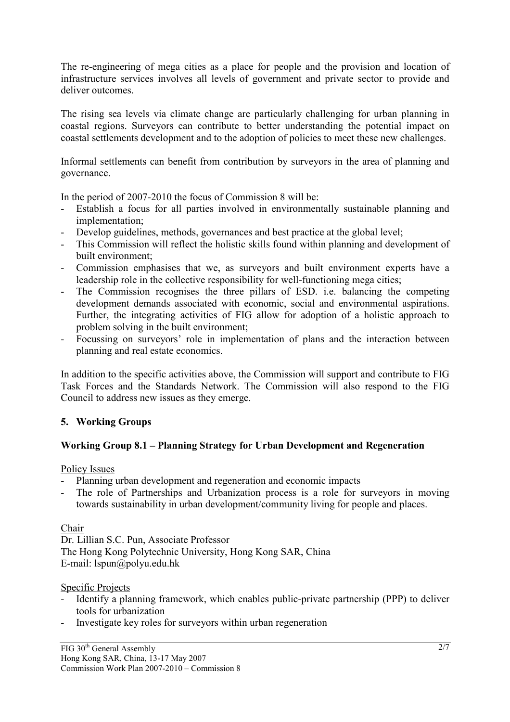The re-engineering of mega cities as a place for people and the provision and location of infrastructure services involves all levels of government and private sector to provide and deliver outcomes.

The rising sea levels via climate change are particularly challenging for urban planning in coastal regions. Surveyors can contribute to better understanding the potential impact on coastal settlements development and to the adoption of policies to meet these new challenges.

Informal settlements can benefit from contribution by surveyors in the area of planning and governance.

In the period of 2007-2010 the focus of Commission 8 will be:

- Establish a focus for all parties involved in environmentally sustainable planning and implementation;
- Develop guidelines, methods, governances and best practice at the global level;
- This Commission will reflect the holistic skills found within planning and development of built environment;
- Commission emphasises that we, as surveyors and built environment experts have a leadership role in the collective responsibility for well-functioning mega cities;
- The Commission recognises the three pillars of ESD. i.e. balancing the competing development demands associated with economic, social and environmental aspirations. Further, the integrating activities of FIG allow for adoption of a holistic approach to problem solving in the built environment;
- Focussing on surveyors' role in implementation of plans and the interaction between planning and real estate economics.

In addition to the specific activities above, the Commission will support and contribute to FIG Task Forces and the Standards Network. The Commission will also respond to the FIG Council to address new issues as they emerge.

# **5. Working Groups**

#### **Working Group 8.1 – Planning Strategy for Urban Development and Regeneration**

Policy Issues

- Planning urban development and regeneration and economic impacts
- The role of Partnerships and Urbanization process is a role for surveyors in moving towards sustainability in urban development/community living for people and places.

#### Chair

Dr. Lillian S.C. Pun, Associate Professor The Hong Kong Polytechnic University, Hong Kong SAR, China E-mail: lspun@polyu.edu.hk

Specific Projects

- Identify a planning framework, which enables public-private partnership (PPP) to deliver tools for urbanization
- Investigate key roles for surveyors within urban regeneration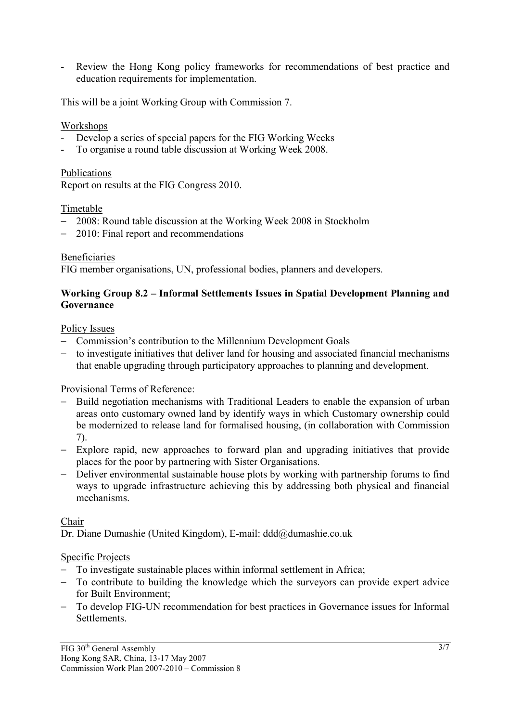Review the Hong Kong policy frameworks for recommendations of best practice and education requirements for implementation.

This will be a joint Working Group with Commission 7.

### Workshops

- Develop a series of special papers for the FIG Working Weeks
- To organise a round table discussion at Working Week 2008.

#### Publications

Report on results at the FIG Congress 2010.

#### Timetable

- − 2008: Round table discussion at the Working Week 2008 in Stockholm
- − 2010: Final report and recommendations

#### Beneficiaries

FIG member organisations, UN, professional bodies, planners and developers.

### **Working Group 8.2 – Informal Settlements Issues in Spatial Development Planning and Governance**

#### Policy Issues

- − Commission's contribution to the Millennium Development Goals
- − to investigate initiatives that deliver land for housing and associated financial mechanisms that enable upgrading through participatory approaches to planning and development.

#### Provisional Terms of Reference:

- − Build negotiation mechanisms with Traditional Leaders to enable the expansion of urban areas onto customary owned land by identify ways in which Customary ownership could be modernized to release land for formalised housing, (in collaboration with Commission 7).
- − Explore rapid, new approaches to forward plan and upgrading initiatives that provide places for the poor by partnering with Sister Organisations.
- − Deliver environmental sustainable house plots by working with partnership forums to find ways to upgrade infrastructure achieving this by addressing both physical and financial mechanisms.

Chair

Dr. Diane Dumashie (United Kingdom), E-mail: ddd@dumashie.co.uk

#### Specific Projects

- − To investigate sustainable places within informal settlement in Africa;
- − To contribute to building the knowledge which the surveyors can provide expert advice for Built Environment;
- − To develop FIG-UN recommendation for best practices in Governance issues for Informal **Settlements**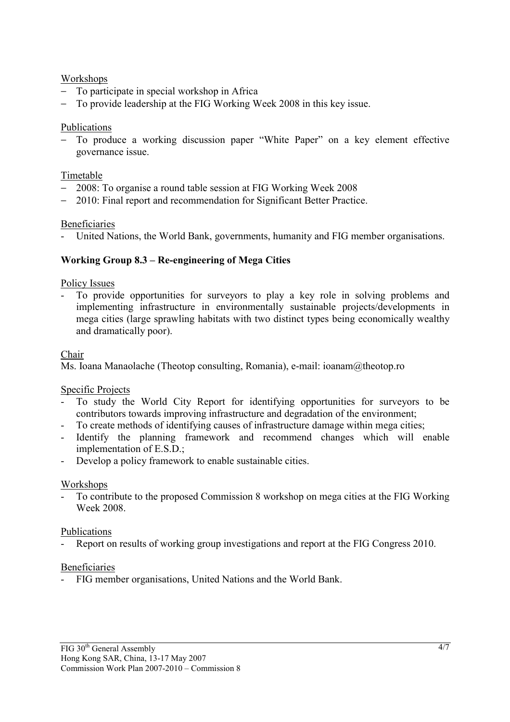### Workshops

- − To participate in special workshop in Africa
- − To provide leadership at the FIG Working Week 2008 in this key issue.

# Publications

To produce a working discussion paper "White Paper" on a key element effective governance issue.

# Timetable

- − 2008: To organise a round table session at FIG Working Week 2008
- − 2010: Final report and recommendation for Significant Better Practice.

# Beneficiaries

United Nations, the World Bank, governments, humanity and FIG member organisations.

# **Working Group 8.3 – Re-engineering of Mega Cities**

#### Policy Issues

- To provide opportunities for surveyors to play a key role in solving problems and implementing infrastructure in environmentally sustainable projects/developments in mega cities (large sprawling habitats with two distinct types being economically wealthy and dramatically poor).

#### Chair

Ms. Ioana Manaolache (Theotop consulting, Romania), e-mail: ioanam@theotop.ro

#### Specific Projects

- To study the World City Report for identifying opportunities for surveyors to be contributors towards improving infrastructure and degradation of the environment;
- To create methods of identifying causes of infrastructure damage within mega cities;
- Identify the planning framework and recommend changes which will enable implementation of E.S.D.;
- Develop a policy framework to enable sustainable cities.

#### Workshops

- To contribute to the proposed Commission 8 workshop on mega cities at the FIG Working Week 2008.

#### Publications

Report on results of working group investigations and report at the FIG Congress 2010.

#### Beneficiaries

- FIG member organisations, United Nations and the World Bank.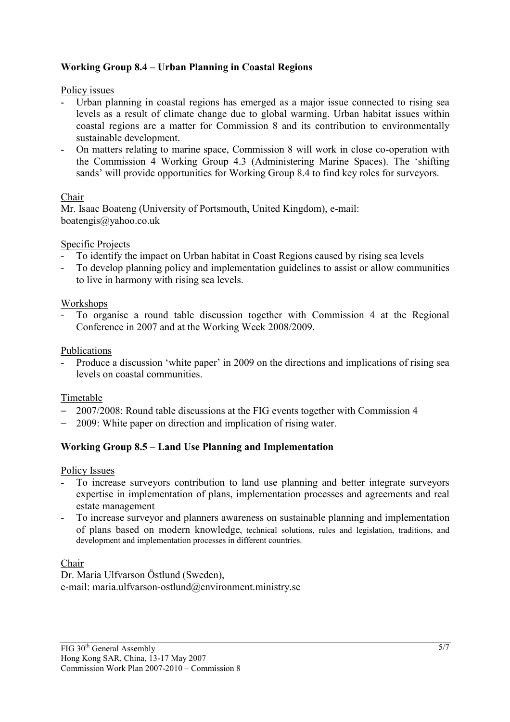# **Working Group 8.4 – Urban Planning in Coastal Regions**

#### Policy issues

- Urban planning in coastal regions has emerged as a major issue connected to rising sea levels as a result of climate change due to global warming. Urban habitat issues within coastal regions are a matter for Commission 8 and its contribution to environmentally sustainable development.
- On matters relating to marine space, Commission 8 will work in close co-operation with the Commission 4 Working Group 4.3 (Administering Marine Spaces). The 'shifting sands' will provide opportunities for Working Group 8.4 to find key roles for surveyors.

### Chair

Mr. Isaac Boateng (University of Portsmouth, United Kingdom), e-mail: boatengis@yahoo.co.uk

### Specific Projects

- To identify the impact on Urban habitat in Coast Regions caused by rising sea levels
- To develop planning policy and implementation guidelines to assist or allow communities to live in harmony with rising sea levels.

### Workshops

- To organise a round table discussion together with Commission 4 at the Regional Conference in 2007 and at the Working Week 2008/2009.

### Publications

Produce a discussion 'white paper' in 2009 on the directions and implications of rising sea levels on coastal communities.

# Timetable

- − 2007/2008: Round table discussions at the FIG events together with Commission 4
- − 2009: White paper on direction and implication of rising water.

# **Working Group 8.5 – Land Use Planning and Implementation**

#### Policy Issues

- To increase surveyors contribution to land use planning and better integrate surveyors expertise in implementation of plans, implementation processes and agreements and real estate management
- To increase surveyor and planners awareness on sustainable planning and implementation of plans based on modern knowledge, technical solutions, rules and legislation, traditions, and development and implementation processes in different countries.

Chair

Dr. Maria Ulfvarson Östlund (Sweden), e-mail: maria.ulfvarson-ostlund@environment.ministry.se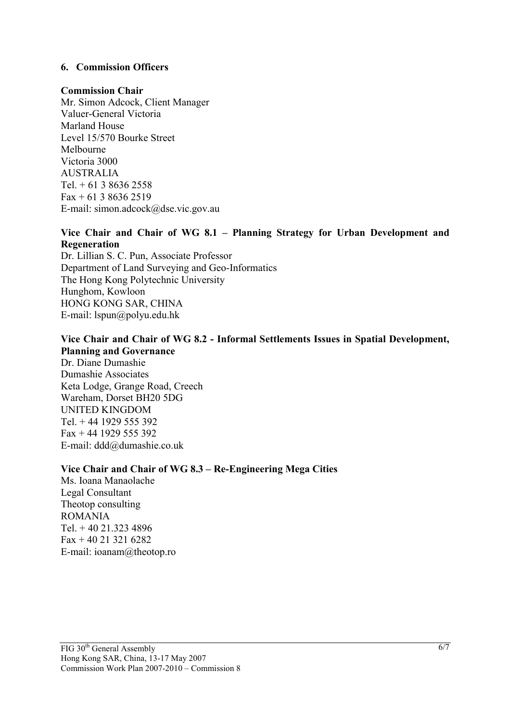### **6. Commission Officers**

#### **Commission Chair**

Mr. Simon Adcock, Client Manager Valuer-General Victoria Marland House Level 15/570 Bourke Street Melbourne Victoria 3000 AUSTRALIA Tel.  $+ 61$  3 8636 2558  $Fax + 61$  3 8636 2519 E-mail: simon.adcock@dse.vic.gov.au

### **Vice Chair and Chair of WG 8.1 – Planning Strategy for Urban Development and Regeneration**

Dr. Lillian S. C. Pun, Associate Professor Department of Land Surveying and Geo-Informatics The Hong Kong Polytechnic University Hunghom, Kowloon HONG KONG SAR, CHINA E-mail: lspun@polyu.edu.hk

### **Vice Chair and Chair of WG 8.2 - Informal Settlements Issues in Spatial Development, Planning and Governance**

Dr. Diane Dumashie Dumashie Associates Keta Lodge, Grange Road, Creech Wareham, Dorset BH20 5DG UNITED KINGDOM Tel. + 44 1929 555 392 Fax + 44 1929 555 392 E-mail: ddd@dumashie.co.uk

#### **Vice Chair and Chair of WG 8.3 – Re-Engineering Mega Cities**

Ms. Ioana Manaolache Legal Consultant Theotop consulting ROMANIA Tel. + 40 21.323 4896 Fax + 40 21 321 6282 E-mail: ioanam@theotop.ro